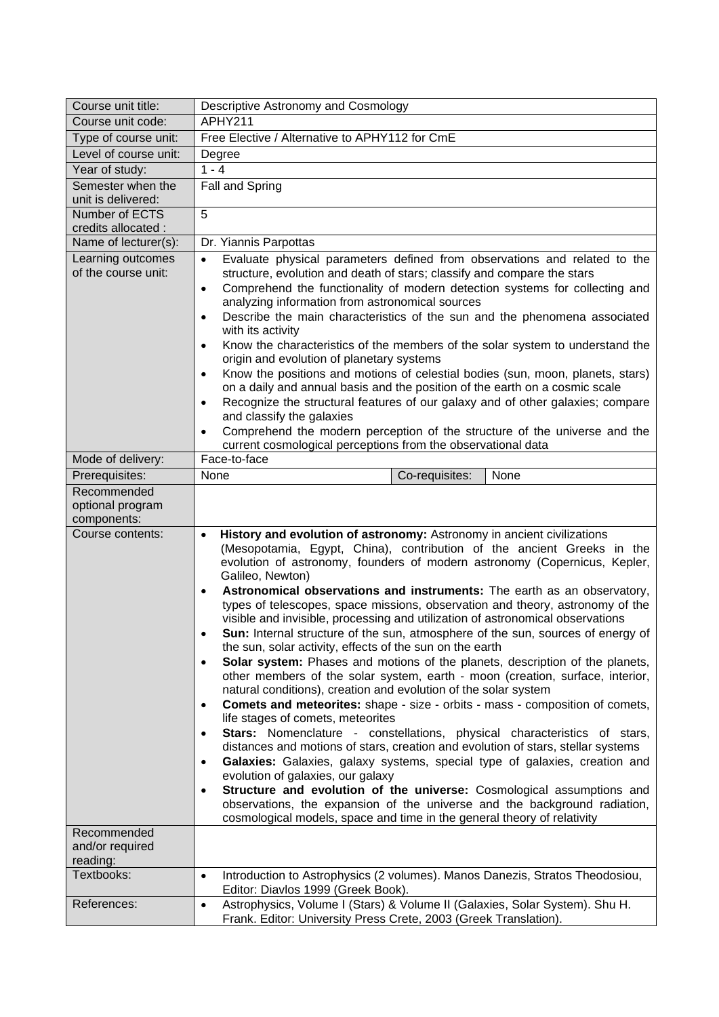| Course unit title:                             | Descriptive Astronomy and Cosmology                                                                                                                                                                                                                                                                                                                                                                                                                                                                                                                                                                                                                                                                                                                                                                                                                                                                                                                                                                                                                                                                                                                                                                                                                                                                                                                                                                                                                                                                                                                                                                                                        |
|------------------------------------------------|--------------------------------------------------------------------------------------------------------------------------------------------------------------------------------------------------------------------------------------------------------------------------------------------------------------------------------------------------------------------------------------------------------------------------------------------------------------------------------------------------------------------------------------------------------------------------------------------------------------------------------------------------------------------------------------------------------------------------------------------------------------------------------------------------------------------------------------------------------------------------------------------------------------------------------------------------------------------------------------------------------------------------------------------------------------------------------------------------------------------------------------------------------------------------------------------------------------------------------------------------------------------------------------------------------------------------------------------------------------------------------------------------------------------------------------------------------------------------------------------------------------------------------------------------------------------------------------------------------------------------------------------|
| Course unit code:                              | APHY211                                                                                                                                                                                                                                                                                                                                                                                                                                                                                                                                                                                                                                                                                                                                                                                                                                                                                                                                                                                                                                                                                                                                                                                                                                                                                                                                                                                                                                                                                                                                                                                                                                    |
| Type of course unit:                           | Free Elective / Alternative to APHY112 for CmE                                                                                                                                                                                                                                                                                                                                                                                                                                                                                                                                                                                                                                                                                                                                                                                                                                                                                                                                                                                                                                                                                                                                                                                                                                                                                                                                                                                                                                                                                                                                                                                             |
| Level of course unit:                          | Degree                                                                                                                                                                                                                                                                                                                                                                                                                                                                                                                                                                                                                                                                                                                                                                                                                                                                                                                                                                                                                                                                                                                                                                                                                                                                                                                                                                                                                                                                                                                                                                                                                                     |
| Year of study:                                 | $1 - 4$                                                                                                                                                                                                                                                                                                                                                                                                                                                                                                                                                                                                                                                                                                                                                                                                                                                                                                                                                                                                                                                                                                                                                                                                                                                                                                                                                                                                                                                                                                                                                                                                                                    |
| Semester when the<br>unit is delivered:        | Fall and Spring                                                                                                                                                                                                                                                                                                                                                                                                                                                                                                                                                                                                                                                                                                                                                                                                                                                                                                                                                                                                                                                                                                                                                                                                                                                                                                                                                                                                                                                                                                                                                                                                                            |
| Number of ECTS<br>credits allocated :          | 5                                                                                                                                                                                                                                                                                                                                                                                                                                                                                                                                                                                                                                                                                                                                                                                                                                                                                                                                                                                                                                                                                                                                                                                                                                                                                                                                                                                                                                                                                                                                                                                                                                          |
| Name of lecturer(s):                           | Dr. Yiannis Parpottas                                                                                                                                                                                                                                                                                                                                                                                                                                                                                                                                                                                                                                                                                                                                                                                                                                                                                                                                                                                                                                                                                                                                                                                                                                                                                                                                                                                                                                                                                                                                                                                                                      |
| Learning outcomes<br>of the course unit:       | Evaluate physical parameters defined from observations and related to the<br>$\bullet$<br>structure, evolution and death of stars; classify and compare the stars<br>Comprehend the functionality of modern detection systems for collecting and<br>$\bullet$<br>analyzing information from astronomical sources<br>Describe the main characteristics of the sun and the phenomena associated<br>$\bullet$<br>with its activity<br>Know the characteristics of the members of the solar system to understand the<br>$\bullet$<br>origin and evolution of planetary systems                                                                                                                                                                                                                                                                                                                                                                                                                                                                                                                                                                                                                                                                                                                                                                                                                                                                                                                                                                                                                                                                 |
|                                                | Know the positions and motions of celestial bodies (sun, moon, planets, stars)<br>$\bullet$<br>on a daily and annual basis and the position of the earth on a cosmic scale<br>Recognize the structural features of our galaxy and of other galaxies; compare<br>$\bullet$<br>and classify the galaxies<br>Comprehend the modern perception of the structure of the universe and the<br>$\bullet$<br>current cosmological perceptions from the observational data                                                                                                                                                                                                                                                                                                                                                                                                                                                                                                                                                                                                                                                                                                                                                                                                                                                                                                                                                                                                                                                                                                                                                                           |
| Mode of delivery:                              | Face-to-face                                                                                                                                                                                                                                                                                                                                                                                                                                                                                                                                                                                                                                                                                                                                                                                                                                                                                                                                                                                                                                                                                                                                                                                                                                                                                                                                                                                                                                                                                                                                                                                                                               |
| Prerequisites:                                 | Co-requisites:<br>None<br>None                                                                                                                                                                                                                                                                                                                                                                                                                                                                                                                                                                                                                                                                                                                                                                                                                                                                                                                                                                                                                                                                                                                                                                                                                                                                                                                                                                                                                                                                                                                                                                                                             |
| Recommended<br>optional program<br>components: |                                                                                                                                                                                                                                                                                                                                                                                                                                                                                                                                                                                                                                                                                                                                                                                                                                                                                                                                                                                                                                                                                                                                                                                                                                                                                                                                                                                                                                                                                                                                                                                                                                            |
| Course contents:                               | History and evolution of astronomy: Astronomy in ancient civilizations<br>$\bullet$<br>(Mesopotamia, Egypt, China), contribution of the ancient Greeks in the<br>evolution of astronomy, founders of modern astronomy (Copernicus, Kepler,<br>Galileo, Newton)<br>Astronomical observations and instruments: The earth as an observatory,<br>$\bullet$<br>types of telescopes, space missions, observation and theory, astronomy of the<br>visible and invisible, processing and utilization of astronomical observations<br>Sun: Internal structure of the sun, atmosphere of the sun, sources of energy of<br>$\bullet$<br>the sun, solar activity, effects of the sun on the earth<br>Solar system: Phases and motions of the planets, description of the planets,<br>$\bullet$<br>other members of the solar system, earth - moon (creation, surface, interior,<br>natural conditions), creation and evolution of the solar system<br><b>Comets and meteorites:</b> shape - size - orbits - mass - composition of comets,<br>$\bullet$<br>life stages of comets, meteorites<br>Stars: Nomenclature - constellations, physical characteristics of stars,<br>$\bullet$<br>distances and motions of stars, creation and evolution of stars, stellar systems<br>Galaxies: Galaxies, galaxy systems, special type of galaxies, creation and<br>$\bullet$<br>evolution of galaxies, our galaxy<br>Structure and evolution of the universe: Cosmological assumptions and<br>$\bullet$<br>observations, the expansion of the universe and the background radiation,<br>cosmological models, space and time in the general theory of relativity |
| Recommended<br>and/or required<br>reading:     |                                                                                                                                                                                                                                                                                                                                                                                                                                                                                                                                                                                                                                                                                                                                                                                                                                                                                                                                                                                                                                                                                                                                                                                                                                                                                                                                                                                                                                                                                                                                                                                                                                            |
| Textbooks:                                     | Introduction to Astrophysics (2 volumes). Manos Danezis, Stratos Theodosiou,<br>$\bullet$<br>Editor: Diavlos 1999 (Greek Book).                                                                                                                                                                                                                                                                                                                                                                                                                                                                                                                                                                                                                                                                                                                                                                                                                                                                                                                                                                                                                                                                                                                                                                                                                                                                                                                                                                                                                                                                                                            |
| References:                                    | Astrophysics, Volume I (Stars) & Volume II (Galaxies, Solar System). Shu H.<br>$\bullet$<br>Frank. Editor: University Press Crete, 2003 (Greek Translation).                                                                                                                                                                                                                                                                                                                                                                                                                                                                                                                                                                                                                                                                                                                                                                                                                                                                                                                                                                                                                                                                                                                                                                                                                                                                                                                                                                                                                                                                               |